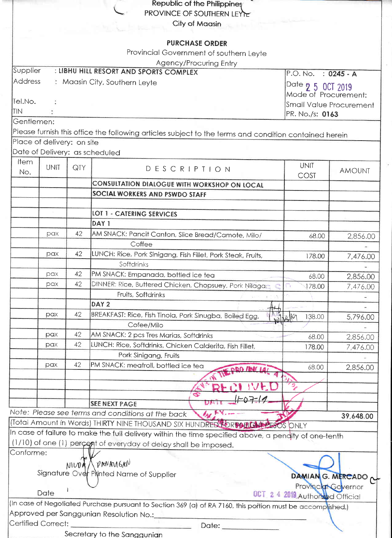|                    |                            |                     | Republic of the Philippines                                                                                 |                                  |                                |
|--------------------|----------------------------|---------------------|-------------------------------------------------------------------------------------------------------------|----------------------------------|--------------------------------|
|                    |                            |                     | PROVINCE OF SOUTHERN LEYE                                                                                   |                                  |                                |
|                    |                            |                     | City of Maasin                                                                                              |                                  |                                |
|                    |                            |                     |                                                                                                             |                                  |                                |
|                    |                            |                     | <b>PURCHASE ORDER</b>                                                                                       |                                  |                                |
|                    |                            |                     | Provincial Government of southern Leyte                                                                     |                                  |                                |
|                    |                            |                     | Agency/Procuring Entry<br>: LIBHU HILL RESORT AND SPORTS COMPLEX                                            |                                  |                                |
| Supplier           |                            | P.O. No. : 0245 - A |                                                                                                             |                                  |                                |
| Address            |                            |                     | : Maasin City, Southern Leyte                                                                               | Date 2 5 0CT 2019                |                                |
|                    |                            |                     |                                                                                                             | Mode of Procurement:             |                                |
| Tel.No.            |                            |                     | Small Value Procurement                                                                                     |                                  |                                |
| <b>TIN</b>         |                            |                     |                                                                                                             | PR. No./s: 0163                  |                                |
| Gentlemen:         |                            |                     |                                                                                                             |                                  |                                |
|                    |                            |                     | Please furnish this office the following articles subject to the terms and condition contained herein       |                                  |                                |
|                    | Place of delivery: on site |                     |                                                                                                             |                                  |                                |
|                    |                            |                     | Date of Delivery: as scheduled                                                                              |                                  |                                |
| Item               | <b>UNIT</b>                | QTY                 | DESCRIPTION                                                                                                 | <b>UNIT</b>                      |                                |
| No.                |                            |                     |                                                                                                             | COST                             | <b>AMOUNT</b>                  |
|                    |                            |                     | CONSULTATION DIALOGUE WITH WORKSHOP ON LOCAL                                                                |                                  |                                |
|                    |                            |                     | SOCIAL WORKERS AND PSWDO STAFF                                                                              |                                  |                                |
|                    |                            |                     |                                                                                                             |                                  |                                |
|                    |                            |                     | <b>LOT 1 - CATERING SERVICES</b>                                                                            |                                  |                                |
|                    |                            |                     | DAY <sub>1</sub>                                                                                            |                                  |                                |
|                    | pax                        | 42                  | AM SNACK: Pancit Canton, Slice Bread/Camote, Milo/                                                          | 68.00                            | 2,856.00                       |
|                    |                            |                     | Coffee                                                                                                      |                                  |                                |
|                    | pax                        | 42                  | LUNCH: Rice, Pork Sinigang, Fish Fillet, Pork Steak, Fruits,                                                | 178.00                           | 7,476.00                       |
|                    |                            |                     | Softdrinks                                                                                                  |                                  |                                |
|                    | pax                        | 42                  | PM SNACK: Empanada, bottled ice tea                                                                         | 68.00                            | 2,856.00                       |
|                    | pax                        | 42                  | DINNER: Rice, Buttered Chicken, Chopsuey, Pork Nilaga,                                                      | 178.00                           | 7,476.00                       |
|                    |                            |                     | Fruits, Softdrinks                                                                                          |                                  |                                |
|                    |                            |                     | DAY <sub>2</sub>                                                                                            |                                  |                                |
|                    | pax                        | 42                  | BREAKFAST: Rice, Fish Tinola, Pork Sinugba, Boiled Egg,                                                     | 138.00<br>01160                  | 5,796.00                       |
|                    |                            |                     | Cofee/Milo                                                                                                  |                                  |                                |
|                    | pax                        | 42                  | AM SNACK: 2 pcs Tres Marias, Softdrinks                                                                     | 68.00                            | 2,856.00                       |
|                    | pax                        | 42                  | LUNCH: Rice, Softdrinks, Chicken Calderita, Fish Fillet,                                                    | 178.00                           | 7,476.00                       |
|                    |                            |                     | Pork Sinigang, Fruits                                                                                       |                                  |                                |
|                    | pax                        | 42                  | PM SNACK: meatroll, bottled ice tea<br><b>DRO THIS 14</b>                                                   | 68.00                            | 2,856.00                       |
|                    |                            |                     |                                                                                                             |                                  |                                |
|                    |                            |                     |                                                                                                             |                                  |                                |
|                    |                            |                     | $-07-10$                                                                                                    |                                  |                                |
|                    |                            |                     | <b>SEE NEXT PAGE</b>                                                                                        |                                  |                                |
|                    |                            |                     | Note: Please see terms and conditions at the back                                                           |                                  | 39,648.00                      |
|                    |                            |                     | (Total Amount in Words) THIRTY NINE THOUSAND SIX HUNDRED FOR MULTER OS ONLY                                 |                                  |                                |
|                    |                            |                     | In case of failure to make the full delivery within the time specified above, a pendity of one-tenth        |                                  |                                |
|                    |                            |                     | (1/10) of one (1) percept of everyday of delay shall be imposed.                                            |                                  |                                |
| Conforme:          |                            |                     |                                                                                                             |                                  |                                |
|                    |                            | NIVOA               | PANAMGAN                                                                                                    |                                  |                                |
|                    |                            |                     | Signature Over Plyinted Name of Supplier                                                                    |                                  | DAMIAN <sub>G.</sub> MERCADO O |
|                    |                            |                     |                                                                                                             | Provincial Governor              |                                |
|                    | Date                       |                     |                                                                                                             | 0CT 2 4 2019 Authorized Official |                                |
|                    |                            |                     | (In case of Negotiated Purchase pursuant to Section 369 (a) of RA 7160, this portion must be accomplished.) |                                  |                                |
|                    |                            |                     | Approved per Sanggunian Resolution No.:_                                                                    |                                  |                                |
| Certified Correct: |                            |                     | Date: ___________                                                                                           |                                  |                                |
|                    |                            |                     | Secretary to the Sanggunian                                                                                 |                                  |                                |